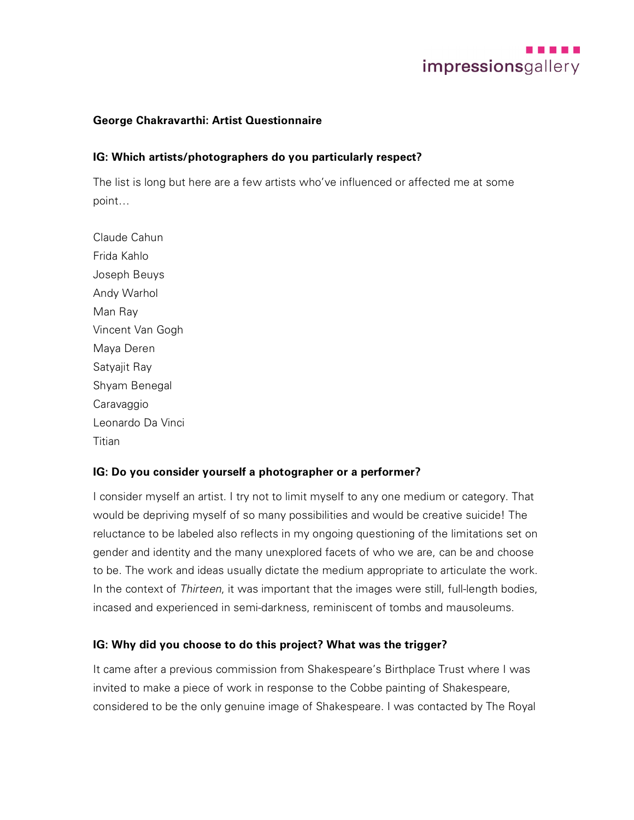

### **George Chakravarthi: Artist Questionnaire**

### **IG: Which artists/photographers do you particularly respect?**

The list is long but here are a few artists who've influenced or affected me at some point…

Claude Cahun Frida Kahlo Joseph Beuys Andy Warhol Man Ray Vincent Van Gogh Maya Deren Satyajit Ray Shyam Benegal **Caravaggio** Leonardo Da Vinci **Titian** 

#### **IG: Do you consider yourself a photographer or a performer?**

I consider myself an artist. I try not to limit myself to any one medium or category. That would be depriving myself of so many possibilities and would be creative suicide! The reluctance to be labeled also reflects in my ongoing questioning of the limitations set on gender and identity and the many unexplored facets of who we are, can be and choose to be. The work and ideas usually dictate the medium appropriate to articulate the work. In the context of *Thirteen*, it was important that the images were still, full-length bodies, incased and experienced in semi-darkness, reminiscent of tombs and mausoleums.

#### **IG: Why did you choose to do this project? What was the trigger?**

It came after a previous commission from Shakespeare's Birthplace Trust where I was invited to make a piece of work in response to the Cobbe painting of Shakespeare, considered to be the only genuine image of Shakespeare. I was contacted by The Royal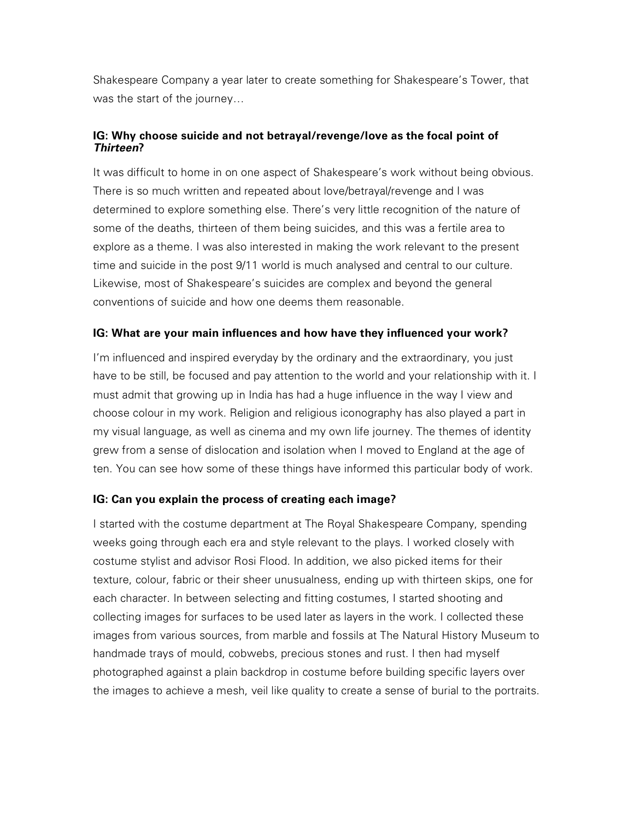Shakespeare Company a year later to create something for Shakespeare's Tower, that was the start of the journey…

## **IG: Why choose suicide and not betrayal/revenge/love as the focal point of**  *Thirteen***?**

It was difficult to home in on one aspect of Shakespeare's work without being obvious. There is so much written and repeated about love/betrayal/revenge and I was determined to explore something else. There's very little recognition of the nature of some of the deaths, thirteen of them being suicides, and this was a fertile area to explore as a theme. I was also interested in making the work relevant to the present time and suicide in the post 9/11 world is much analysed and central to our culture. Likewise, most of Shakespeare's suicides are complex and beyond the general conventions of suicide and how one deems them reasonable.

## **IG: What are your main influences and how have they influenced your work?**

I'm influenced and inspired everyday by the ordinary and the extraordinary, you just have to be still, be focused and pay attention to the world and your relationship with it. I must admit that growing up in India has had a huge influence in the way I view and choose colour in my work. Religion and religious iconography has also played a part in my visual language, as well as cinema and my own life journey. The themes of identity grew from a sense of dislocation and isolation when I moved to England at the age of ten. You can see how some of these things have informed this particular body of work.

## **IG: Can you explain the process of creating each image?**

I started with the costume department at The Royal Shakespeare Company, spending weeks going through each era and style relevant to the plays. I worked closely with costume stylist and advisor Rosi Flood. In addition, we also picked items for their texture, colour, fabric or their sheer unusualness, ending up with thirteen skips, one for each character. In between selecting and fitting costumes, I started shooting and collecting images for surfaces to be used later as layers in the work. I collected these images from various sources, from marble and fossils at The Natural History Museum to handmade trays of mould, cobwebs, precious stones and rust. I then had myself photographed against a plain backdrop in costume before building specific layers over the images to achieve a mesh, veil like quality to create a sense of burial to the portraits.